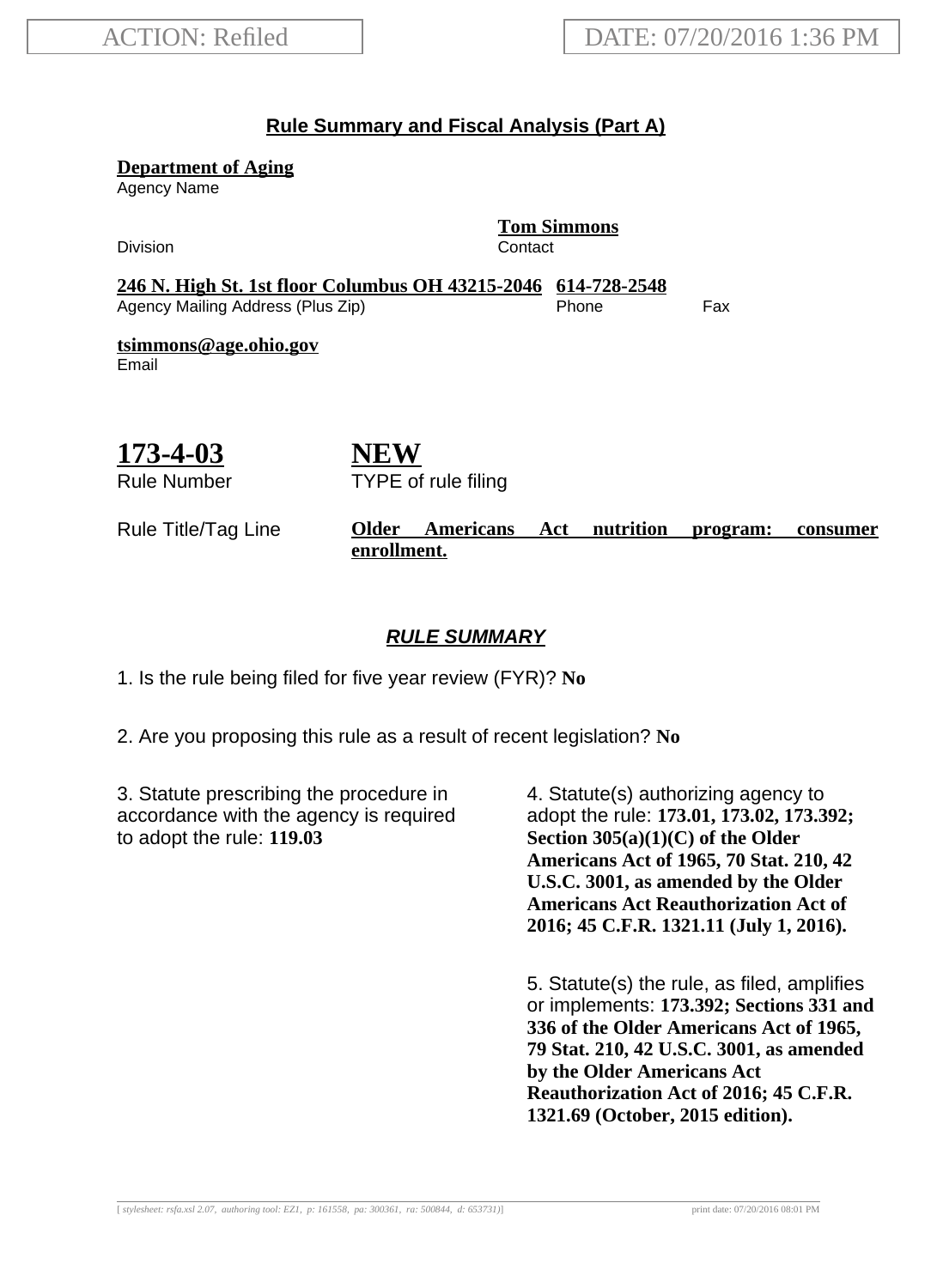#### **Rule Summary and Fiscal Analysis (Part A)**

**Department of Aging**

Agency Name

Division **Contact** 

**Tom Simmons**

**246 N. High St. 1st floor Columbus OH 43215-2046 614-728-2548** Agency Mailing Address (Plus Zip) entitled the Separate Control of the Fax

**tsimmons@age.ohio.gov** Email

# **173-4-03**

Rule Number

**NEW** TYPE of rule filing

#### Rule Title/Tag Line **Older Americans Act nutrition program: consumer enrollment.**

#### **RULE SUMMARY**

1. Is the rule being filed for five year review (FYR)? **No**

2. Are you proposing this rule as a result of recent legislation? **No**

3. Statute prescribing the procedure in accordance with the agency is required to adopt the rule: **119.03**

4. Statute(s) authorizing agency to adopt the rule: **173.01, 173.02, 173.392; Section 305(a)(1)(C) of the Older Americans Act of 1965, 70 Stat. 210, 42 U.S.C. 3001, as amended by the Older Americans Act Reauthorization Act of 2016; 45 C.F.R. 1321.11 (July 1, 2016).**

5. Statute(s) the rule, as filed, amplifies or implements: **173.392; Sections 331 and 336 of the Older Americans Act of 1965, 79 Stat. 210, 42 U.S.C. 3001, as amended by the Older Americans Act Reauthorization Act of 2016; 45 C.F.R. 1321.69 (October, 2015 edition).**

[ *stylesheet: rsfa.xsl 2.07, authoring tool: EZ1, p: 161558, pa: 300361, ra: 500844, d: 653731)*] print date: 07/20/2016 08:01 PM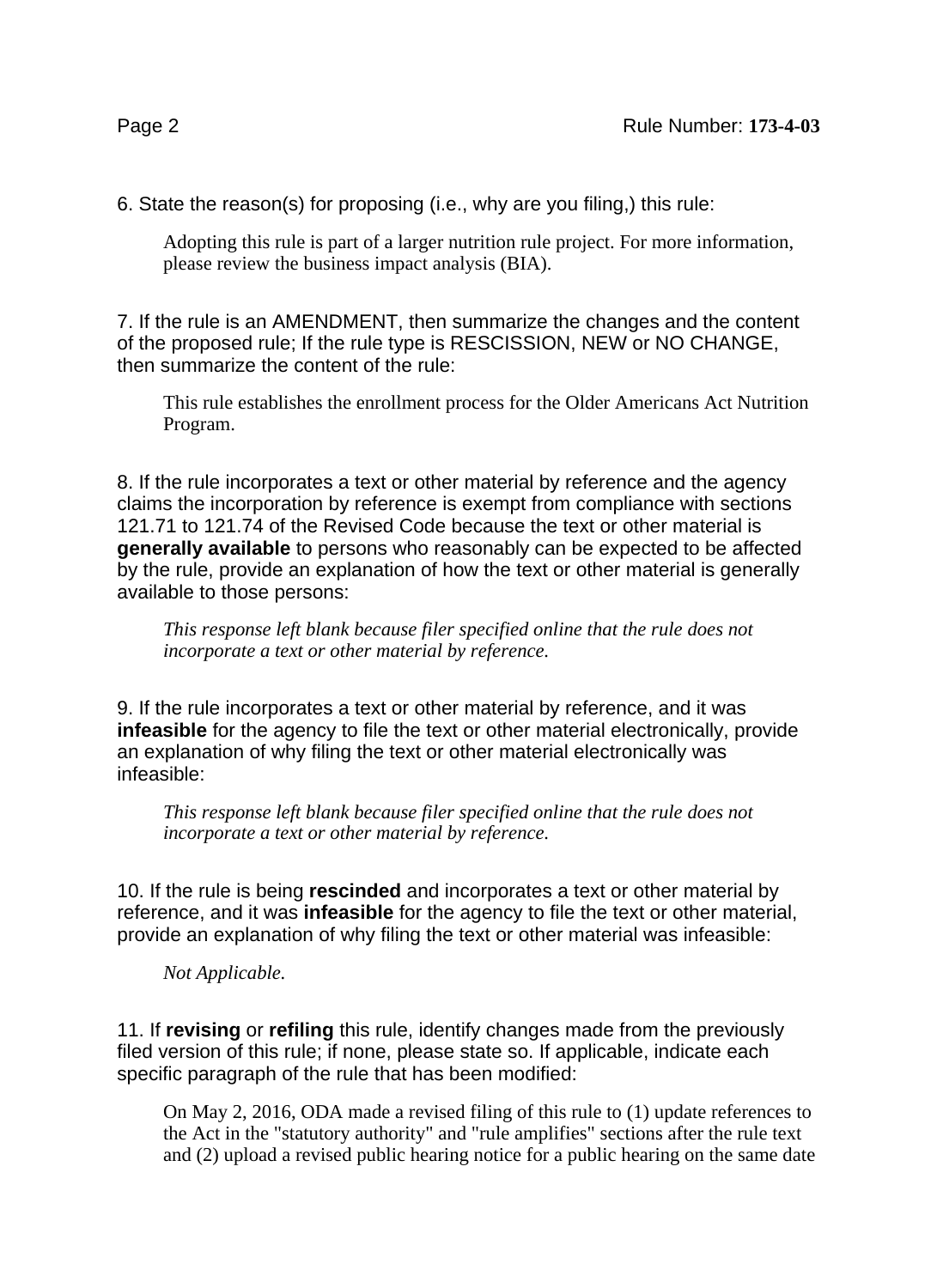6. State the reason(s) for proposing (i.e., why are you filing,) this rule:

Adopting this rule is part of a larger nutrition rule project. For more information, please review the business impact analysis (BIA).

7. If the rule is an AMENDMENT, then summarize the changes and the content of the proposed rule; If the rule type is RESCISSION, NEW or NO CHANGE, then summarize the content of the rule:

This rule establishes the enrollment process for the Older Americans Act Nutrition Program.

8. If the rule incorporates a text or other material by reference and the agency claims the incorporation by reference is exempt from compliance with sections 121.71 to 121.74 of the Revised Code because the text or other material is **generally available** to persons who reasonably can be expected to be affected by the rule, provide an explanation of how the text or other material is generally available to those persons:

*This response left blank because filer specified online that the rule does not incorporate a text or other material by reference.*

9. If the rule incorporates a text or other material by reference, and it was **infeasible** for the agency to file the text or other material electronically, provide an explanation of why filing the text or other material electronically was infeasible:

*This response left blank because filer specified online that the rule does not incorporate a text or other material by reference.*

10. If the rule is being **rescinded** and incorporates a text or other material by reference, and it was **infeasible** for the agency to file the text or other material, provide an explanation of why filing the text or other material was infeasible:

*Not Applicable.*

11. If **revising** or **refiling** this rule, identify changes made from the previously filed version of this rule; if none, please state so. If applicable, indicate each specific paragraph of the rule that has been modified:

On May 2, 2016, ODA made a revised filing of this rule to (1) update references to the Act in the "statutory authority" and "rule amplifies" sections after the rule text and (2) upload a revised public hearing notice for a public hearing on the same date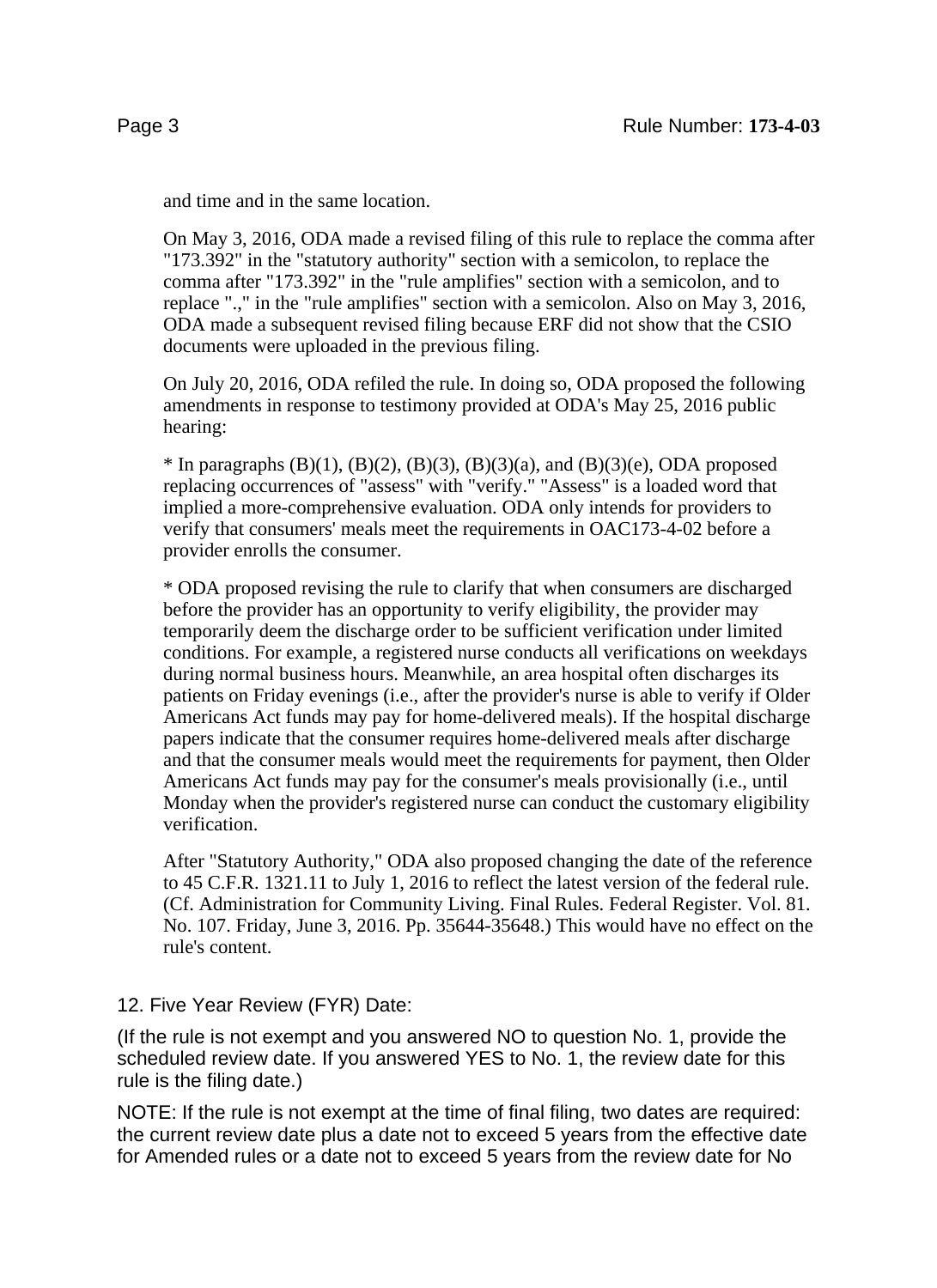and time and in the same location.

On May 3, 2016, ODA made a revised filing of this rule to replace the comma after "173.392" in the "statutory authority" section with a semicolon, to replace the comma after "173.392" in the "rule amplifies" section with a semicolon, and to replace ".," in the "rule amplifies" section with a semicolon. Also on May 3, 2016, ODA made a subsequent revised filing because ERF did not show that the CSIO documents were uploaded in the previous filing.

On July 20, 2016, ODA refiled the rule. In doing so, ODA proposed the following amendments in response to testimony provided at ODA's May 25, 2016 public hearing:

\* In paragraphs (B)(1), (B)(2), (B)(3), (B)(3)(a), and (B)(3)(e), ODA proposed replacing occurrences of "assess" with "verify." "Assess" is a loaded word that implied a more-comprehensive evaluation. ODA only intends for providers to verify that consumers' meals meet the requirements in OAC173-4-02 before a provider enrolls the consumer.

\* ODA proposed revising the rule to clarify that when consumers are discharged before the provider has an opportunity to verify eligibility, the provider may temporarily deem the discharge order to be sufficient verification under limited conditions. For example, a registered nurse conducts all verifications on weekdays during normal business hours. Meanwhile, an area hospital often discharges its patients on Friday evenings (i.e., after the provider's nurse is able to verify if Older Americans Act funds may pay for home-delivered meals). If the hospital discharge papers indicate that the consumer requires home-delivered meals after discharge and that the consumer meals would meet the requirements for payment, then Older Americans Act funds may pay for the consumer's meals provisionally (i.e., until Monday when the provider's registered nurse can conduct the customary eligibility verification.

After "Statutory Authority," ODA also proposed changing the date of the reference to 45 C.F.R. 1321.11 to July 1, 2016 to reflect the latest version of the federal rule. (Cf. Administration for Community Living. Final Rules. Federal Register. Vol. 81. No. 107. Friday, June 3, 2016. Pp. 35644-35648.) This would have no effect on the rule's content.

12. Five Year Review (FYR) Date:

(If the rule is not exempt and you answered NO to question No. 1, provide the scheduled review date. If you answered YES to No. 1, the review date for this rule is the filing date.)

NOTE: If the rule is not exempt at the time of final filing, two dates are required: the current review date plus a date not to exceed 5 years from the effective date for Amended rules or a date not to exceed 5 years from the review date for No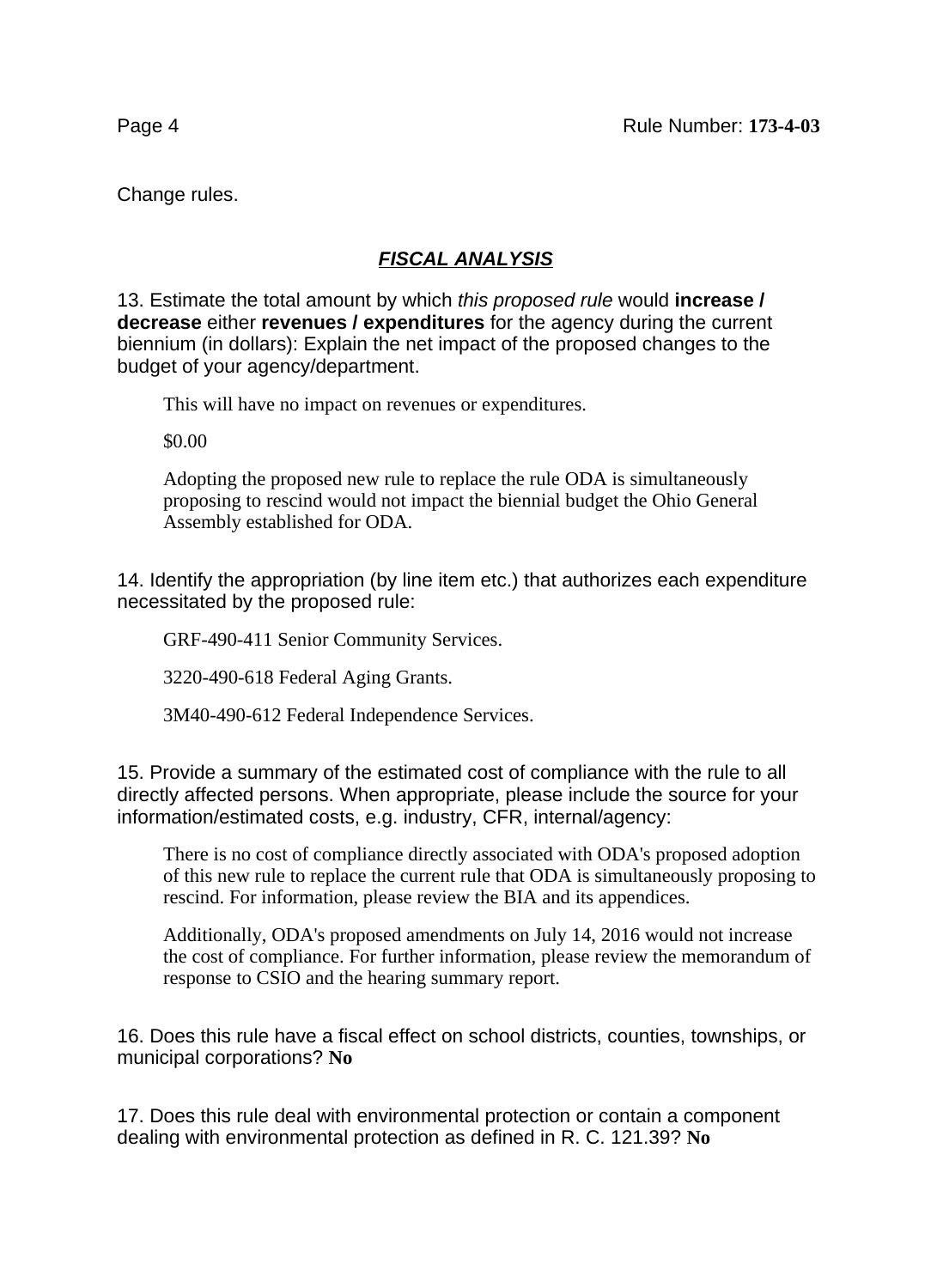Change rules.

## **FISCAL ANALYSIS**

13. Estimate the total amount by which this proposed rule would **increase / decrease** either **revenues / expenditures** for the agency during the current biennium (in dollars): Explain the net impact of the proposed changes to the budget of your agency/department.

This will have no impact on revenues or expenditures.

\$0.00

Adopting the proposed new rule to replace the rule ODA is simultaneously proposing to rescind would not impact the biennial budget the Ohio General Assembly established for ODA.

14. Identify the appropriation (by line item etc.) that authorizes each expenditure necessitated by the proposed rule:

GRF-490-411 Senior Community Services.

3220-490-618 Federal Aging Grants.

3M40-490-612 Federal Independence Services.

15. Provide a summary of the estimated cost of compliance with the rule to all directly affected persons. When appropriate, please include the source for your information/estimated costs, e.g. industry, CFR, internal/agency:

There is no cost of compliance directly associated with ODA's proposed adoption of this new rule to replace the current rule that ODA is simultaneously proposing to rescind. For information, please review the BIA and its appendices.

Additionally, ODA's proposed amendments on July 14, 2016 would not increase the cost of compliance. For further information, please review the memorandum of response to CSIO and the hearing summary report.

16. Does this rule have a fiscal effect on school districts, counties, townships, or municipal corporations? **No**

17. Does this rule deal with environmental protection or contain a component dealing with environmental protection as defined in R. C. 121.39? **No**